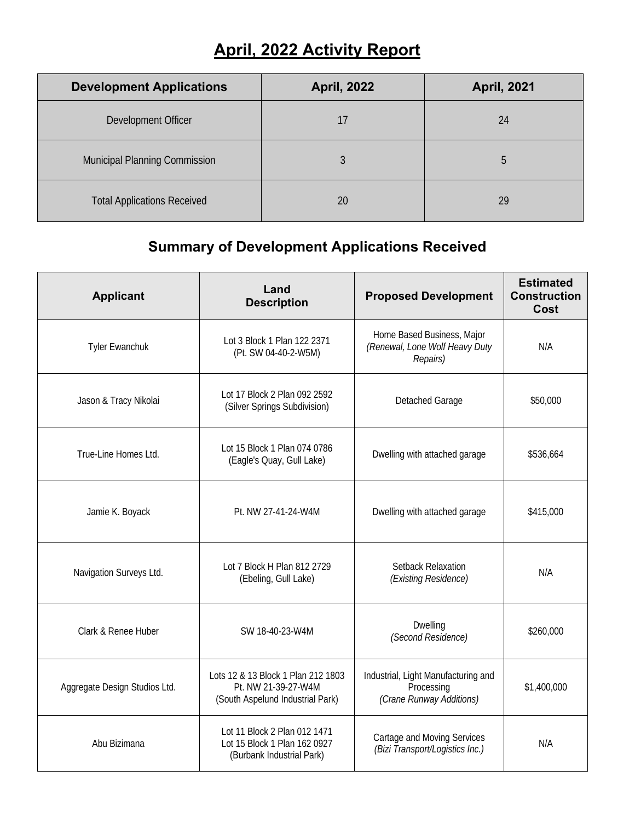## **April, 2022 Activity Report**

| <b>Development Applications</b>      | <b>April, 2022</b> | <b>April, 2021</b> |
|--------------------------------------|--------------------|--------------------|
| Development Officer                  |                    | 24                 |
| <b>Municipal Planning Commission</b> |                    | $\mathbf b$        |
| <b>Total Applications Received</b>   | 20                 | 29                 |

## **Summary of Development Applications Received**

| <b>Applicant</b>              | Land<br><b>Description</b>                                                                    | <b>Proposed Development</b>                                                   | <b>Estimated</b><br><b>Construction</b><br>Cost |
|-------------------------------|-----------------------------------------------------------------------------------------------|-------------------------------------------------------------------------------|-------------------------------------------------|
| <b>Tyler Ewanchuk</b>         | Lot 3 Block 1 Plan 122 2371<br>(Pt. SW 04-40-2-W5M)                                           | Home Based Business, Major<br>(Renewal, Lone Wolf Heavy Duty<br>Repairs)      | N/A                                             |
| Jason & Tracy Nikolai         | Lot 17 Block 2 Plan 092 2592<br>(Silver Springs Subdivision)                                  | Detached Garage                                                               | \$50,000                                        |
| True-Line Homes Ltd.          | Lot 15 Block 1 Plan 074 0786<br>(Eagle's Quay, Gull Lake)                                     | Dwelling with attached garage                                                 | \$536,664                                       |
| Jamie K. Boyack               | Pt. NW 27-41-24-W4M                                                                           | Dwelling with attached garage                                                 | \$415,000                                       |
| Navigation Surveys Ltd.       | Lot 7 Block H Plan 812 2729<br>(Ebeling, Gull Lake)                                           | Setback Relaxation<br>(Existing Residence)                                    | N/A                                             |
| Clark & Renee Huber           | SW 18-40-23-W4M                                                                               | Dwelling<br>(Second Residence)                                                | \$260,000                                       |
| Aggregate Design Studios Ltd. | Lots 12 & 13 Block 1 Plan 212 1803<br>Pt. NW 21-39-27-W4M<br>(South Aspelund Industrial Park) | Industrial, Light Manufacturing and<br>Processing<br>(Crane Runway Additions) | \$1,400,000                                     |
| Abu Bizimana                  | Lot 11 Block 2 Plan 012 1471<br>Lot 15 Block 1 Plan 162 0927<br>(Burbank Industrial Park)     | <b>Cartage and Moving Services</b><br>(Bizi Transport/Logistics Inc.)         | N/A                                             |